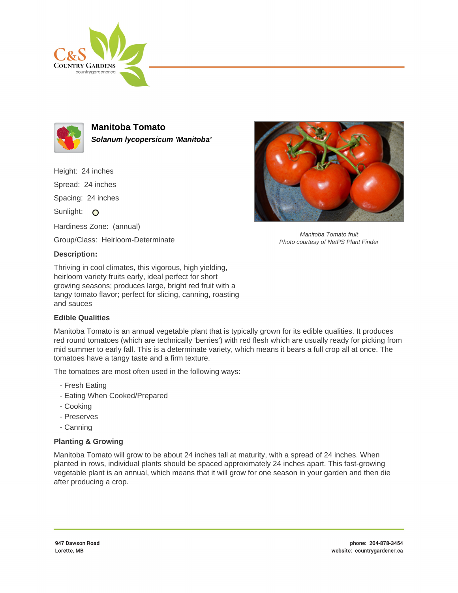



**Manitoba Tomato Solanum lycopersicum 'Manitoba'**

Height: 24 inches

Spread: 24 inches

Spacing: 24 inches

Sunlight: O

Hardiness Zone: (annual)

Group/Class: Heirloom-Determinate

## **Description:**

Thriving in cool climates, this vigorous, high yielding, heirloom variety fruits early, ideal perfect for short growing seasons; produces large, bright red fruit with a tangy tomato flavor; perfect for slicing, canning, roasting and sauces

## **Edible Qualities**

Manitoba Tomato is an annual vegetable plant that is typically grown for its edible qualities. It produces red round tomatoes (which are technically 'berries') with red flesh which are usually ready for picking from mid summer to early fall. This is a determinate variety, which means it bears a full crop all at once. The tomatoes have a tangy taste and a firm texture.

The tomatoes are most often used in the following ways:

- Fresh Eating
- Eating When Cooked/Prepared
- Cooking
- Preserves
- Canning

## **Planting & Growing**

Manitoba Tomato will grow to be about 24 inches tall at maturity, with a spread of 24 inches. When planted in rows, individual plants should be spaced approximately 24 inches apart. This fast-growing vegetable plant is an annual, which means that it will grow for one season in your garden and then die after producing a crop.



Manitoba Tomato fruit Photo courtesy of NetPS Plant Finder